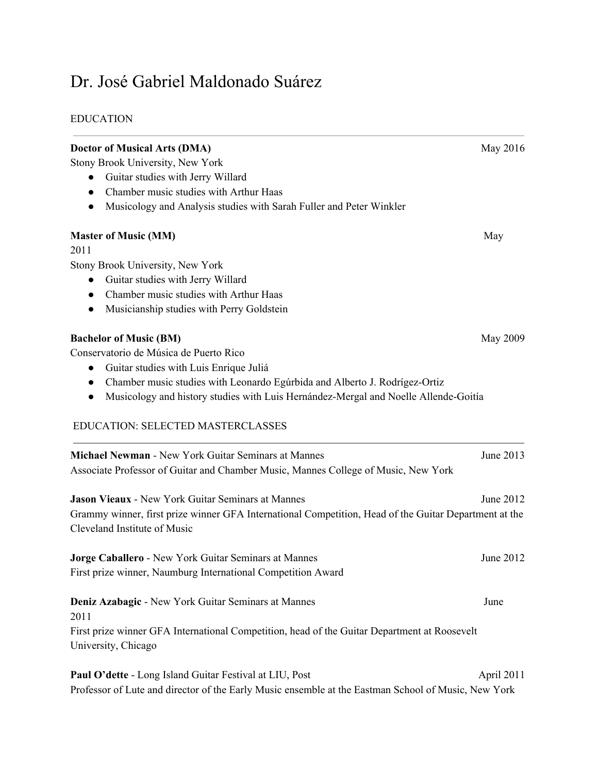# Dr. José Gabriel Maldonado Suárez

# EDUCATION

| <b>Doctor of Musical Arts (DMA)</b>                                                                                                   | May 2016   |
|---------------------------------------------------------------------------------------------------------------------------------------|------------|
| Stony Brook University, New York                                                                                                      |            |
| Guitar studies with Jerry Willard<br>$\bullet$                                                                                        |            |
| Chamber music studies with Arthur Haas<br>$\bullet$                                                                                   |            |
| Musicology and Analysis studies with Sarah Fuller and Peter Winkler<br>$\bullet$                                                      |            |
| <b>Master of Music (MM)</b>                                                                                                           | May        |
| 2011                                                                                                                                  |            |
| Stony Brook University, New York                                                                                                      |            |
| Guitar studies with Jerry Willard<br>$\bullet$                                                                                        |            |
| Chamber music studies with Arthur Haas<br>$\bullet$                                                                                   |            |
| Musicianship studies with Perry Goldstein<br>$\bullet$                                                                                |            |
| <b>Bachelor of Music (BM)</b>                                                                                                         | May 2009   |
| Conservatorio de Música de Puerto Rico                                                                                                |            |
| Guitar studies with Luis Enrique Juliá<br>$\bullet$                                                                                   |            |
| Chamber music studies with Leonardo Egúrbida and Alberto J. Rodrígez-Ortiz<br>$\bullet$                                               |            |
| Musicology and history studies with Luis Hernández-Mergal and Noelle Allende-Goitía<br>$\bullet$                                      |            |
| EDUCATION: SELECTED MASTERCLASSES                                                                                                     |            |
| Michael Newman - New York Guitar Seminars at Mannes                                                                                   | June 2013  |
| Associate Professor of Guitar and Chamber Music, Mannes College of Music, New York                                                    |            |
| <b>Jason Vieaux - New York Guitar Seminars at Mannes</b>                                                                              | June 2012  |
| Grammy winner, first prize winner GFA International Competition, Head of the Guitar Department at the<br>Cleveland Institute of Music |            |
| Jorge Caballero - New York Guitar Seminars at Mannes                                                                                  | June 2012  |
| First prize winner, Naumburg International Competition Award                                                                          |            |
| Deniz Azabagic - New York Guitar Seminars at Mannes<br>2011                                                                           | June       |
| First prize winner GFA International Competition, head of the Guitar Department at Roosevelt<br>University, Chicago                   |            |
| Paul O'dette - Long Island Guitar Festival at LIU, Post                                                                               | April 2011 |
| Professor of Lute and director of the Early Music ensemble at the Eastman School of Music, New York                                   |            |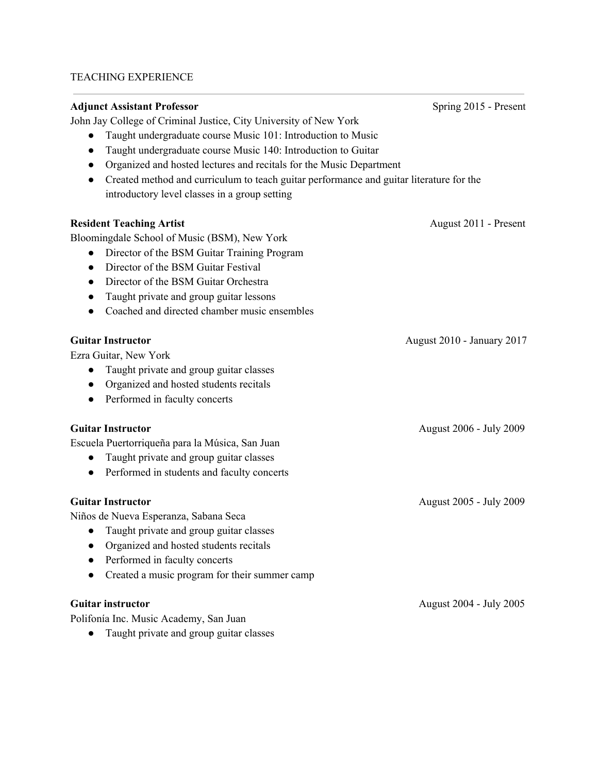# TEACHING EXPERIENCE

| <b>Adjunct Assistant Professor</b>                                                                   | Spring 2015 - Present             |
|------------------------------------------------------------------------------------------------------|-----------------------------------|
| John Jay College of Criminal Justice, City University of New York                                    |                                   |
| Taught undergraduate course Music 101: Introduction to Music                                         |                                   |
| Taught undergraduate course Music 140: Introduction to Guitar<br>$\bullet$                           |                                   |
| Organized and hosted lectures and recitals for the Music Department                                  |                                   |
| Created method and curriculum to teach guitar performance and guitar literature for the<br>$\bullet$ |                                   |
| introductory level classes in a group setting                                                        |                                   |
| <b>Resident Teaching Artist</b>                                                                      | August 2011 - Present             |
| Bloomingdale School of Music (BSM), New York                                                         |                                   |
| Director of the BSM Guitar Training Program                                                          |                                   |
| Director of the BSM Guitar Festival<br>$\bullet$                                                     |                                   |
| Director of the BSM Guitar Orchestra<br>$\bullet$                                                    |                                   |
| Taught private and group guitar lessons                                                              |                                   |
| Coached and directed chamber music ensembles                                                         |                                   |
| <b>Guitar Instructor</b>                                                                             | <b>August 2010 - January 2017</b> |
| Ezra Guitar, New York                                                                                |                                   |
| Taught private and group guitar classes                                                              |                                   |
| Organized and hosted students recitals<br>$\bullet$                                                  |                                   |
| Performed in faculty concerts                                                                        |                                   |
| <b>Guitar Instructor</b>                                                                             | August 2006 - July 2009           |
| Escuela Puertorriqueña para la Música, San Juan                                                      |                                   |
| Taught private and group guitar classes                                                              |                                   |
| Performed in students and faculty concerts<br>$\bullet$                                              |                                   |
| <b>Guitar Instructor</b>                                                                             | August 2005 - July 2009           |
| Niños de Nueva Esperanza, Sabana Seca                                                                |                                   |
| Taught private and group guitar classes                                                              |                                   |
| Organized and hosted students recitals                                                               |                                   |
| Performed in faculty concerts                                                                        |                                   |
| Created a music program for their summer camp                                                        |                                   |
| <b>Guitar instructor</b>                                                                             | August 2004 - July 2005           |
| Polifonía Inc. Music Academy, San Juan                                                               |                                   |

● Taught private and group guitar classes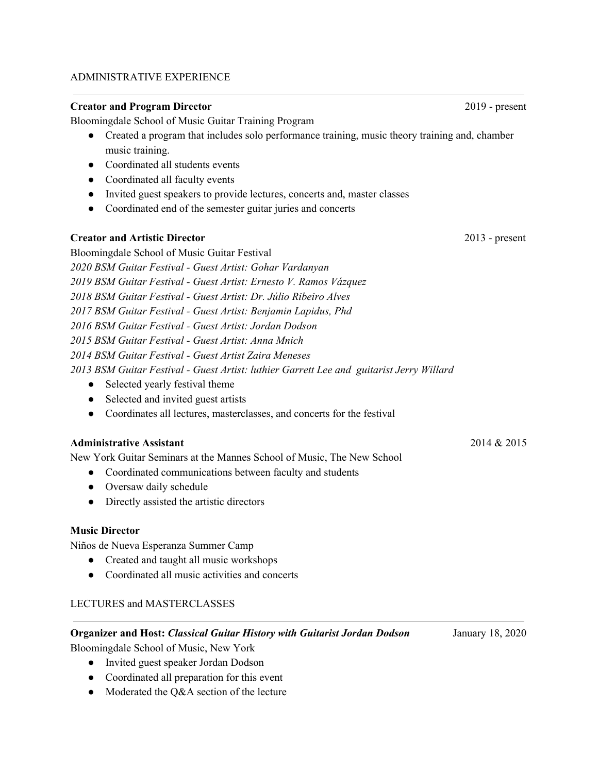#### ADMINISTRATIVE EXPERIENCE

#### **Creator and Program Director** 2019 - present

Bloomingdale School of Music Guitar Training Program

- Created a program that includes solo performance training, music theory training and, chamber music training.
- Coordinated all students events
- Coordinated all faculty events
- Invited guest speakers to provide lectures, concerts and, master classes
- Coordinated end of the semester guitar juries and concerts

## **Creator and Artistic Director** 2013 - present

Bloomingdale School of Music Guitar Festival *BSM Guitar Festival - Guest Artist: Gohar Vardanyan BSM Guitar Festival - Guest Artist: Ernesto V. Ramos Vázquez BSM Guitar Festival - Guest Artist: Dr. Júlio Ribeiro Alves BSM Guitar Festival - Guest Artist: Benjamin Lapidus, Phd BSM Guitar Festival - Guest Artist: Jordan Dodson BSM Guitar Festival - Guest Artist: Anna Mnich BSM Guitar Festival - Guest Artist Zaira Meneses BSM Guitar Festival - Guest Artist: luthier Garrett Lee and guitarist Jerry Willard* • Selected yearly festival theme

- Selected and invited guest artists
- Coordinates all lectures, masterclasses, and concerts for the festival

## **Administrative Assistant** 2014 & 2015

New York Guitar Seminars at the Mannes School of Music, The New School

- Coordinated communications between faculty and students
- Oversaw daily schedule
- Directly assisted the artistic directors

## **Music Director**

Niños de Nueva Esperanza Summer Camp

- Created and taught all music workshops
- Coordinated all music activities and concerts

## LECTURES and MASTERCLASSES

# **Organizer and Host:** *Classical Guitar History with Guitarist Jordan Dodson* January 18, 2020

Bloomingdale School of Music, New York

- Invited guest speaker Jordan Dodson
- Coordinated all preparation for this event
- Moderated the Q&A section of the lecture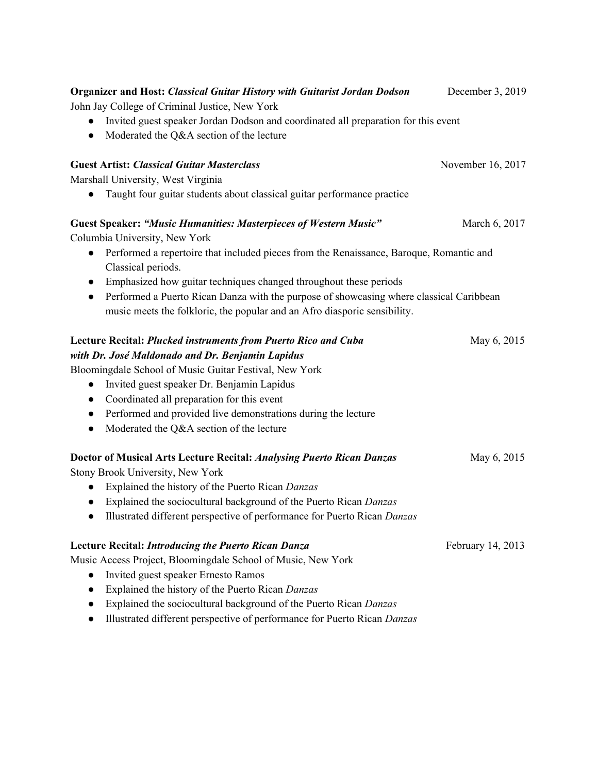| <b>Organizer and Host: Classical Guitar History with Guitarist Jordan Dodson</b>                     | December 3, 2019  |
|------------------------------------------------------------------------------------------------------|-------------------|
| John Jay College of Criminal Justice, New York                                                       |                   |
| Invited guest speaker Jordan Dodson and coordinated all preparation for this event                   |                   |
| Moderated the Q&A section of the lecture                                                             |                   |
| <b>Guest Artist: Classical Guitar Masterclass</b>                                                    | November 16, 2017 |
| Marshall University, West Virginia                                                                   |                   |
| Taught four guitar students about classical guitar performance practice                              |                   |
| <b>Guest Speaker: "Music Humanities: Masterpieces of Western Music"</b>                              | March 6, 2017     |
| Columbia University, New York                                                                        |                   |
| Performed a repertoire that included pieces from the Renaissance, Baroque, Romantic and<br>$\bullet$ |                   |
| Classical periods.                                                                                   |                   |
| Emphasized how guitar techniques changed throughout these periods<br>$\bullet$                       |                   |
| Performed a Puerto Rican Danza with the purpose of showcasing where classical Caribbean<br>$\bullet$ |                   |
| music meets the folkloric, the popular and an Afro diasporic sensibility.                            |                   |
| Lecture Recital: Plucked instruments from Puerto Rico and Cuba                                       | May 6, 2015       |
| with Dr. José Maldonado and Dr. Benjamin Lapidus                                                     |                   |
| Bloomingdale School of Music Guitar Festival, New York                                               |                   |
| Invited guest speaker Dr. Benjamin Lapidus<br>$\bullet$                                              |                   |
| Coordinated all preparation for this event                                                           |                   |
| Performed and provided live demonstrations during the lecture<br>$\bullet$                           |                   |
| Moderated the Q&A section of the lecture                                                             |                   |
| <b>Doctor of Musical Arts Lecture Recital: Analysing Puerto Rican Danzas</b>                         | May 6, 2015       |
| Stony Brook University, New York                                                                     |                   |
| Explained the history of the Puerto Rican Danzas                                                     |                   |
| Explained the sociocultural background of the Puerto Rican Danzas                                    |                   |
| Illustrated different perspective of performance for Puerto Rican Danzas                             |                   |
| <b>Lecture Recital: Introducing the Puerto Rican Danza</b>                                           | February 14, 2013 |
| Music Access Project, Bloomingdale School of Music, New York                                         |                   |
| Invited guest speaker Ernesto Ramos                                                                  |                   |
| Explained the history of the Puerto Rican Danzas                                                     |                   |
| Explained the sociocultural background of the Puerto Rican Danzas                                    |                   |
| Illustrated different perspective of performance for Puerto Rican Danzas                             |                   |